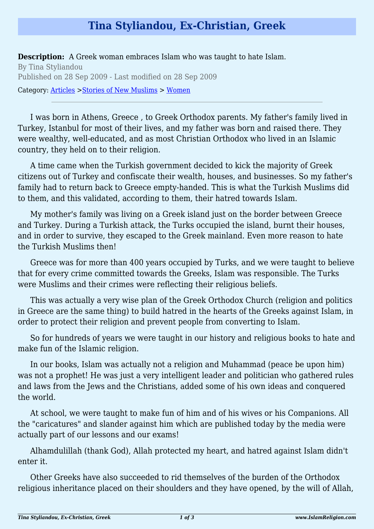## **Tina Styliandou, Ex-Christian, Greek**

**Description:** A Greek woman embraces Islam who was taught to hate Islam. By Tina Styliandou Published on 28 Sep 2009 - Last modified on 28 Sep 2009 Category: [Articles](http://www.islamreligion.com/articles/) >[Stories of New Muslims](http://www.islamreligion.com/category/63/) > [Women](http://www.islamreligion.com/category/65/)

I was born in Athens, Greece , to Greek Orthodox parents. My father's family lived in Turkey, Istanbul for most of their lives, and my father was born and raised there. They were wealthy, well-educated, and as most Christian Orthodox who lived in an Islamic country, they held on to their religion.

A time came when the Turkish government decided to kick the majority of Greek citizens out of Turkey and confiscate their wealth, houses, and businesses. So my father's family had to return back to Greece empty-handed. This is what the Turkish Muslims did to them, and this validated, according to them, their hatred towards Islam.

My mother's family was living on a Greek island just on the border between Greece and Turkey. During a Turkish attack, the Turks occupied the island, burnt their houses, and in order to survive, they escaped to the Greek mainland. Even more reason to hate the Turkish Muslims then!

Greece was for more than 400 years occupied by Turks, and we were taught to believe that for every crime committed towards the Greeks, Islam was responsible. The Turks were Muslims and their crimes were reflecting their religious beliefs.

This was actually a very wise plan of the Greek Orthodox Church (religion and politics in Greece are the same thing) to build hatred in the hearts of the Greeks against Islam, in order to protect their religion and prevent people from converting to Islam.

So for hundreds of years we were taught in our history and religious books to hate and make fun of the Islamic religion.

In our books, Islam was actually not a religion and Muhammad (peace be upon him) was not a prophet! He was just a very intelligent leader and politician who gathered rules and laws from the Jews and the Christians, added some of his own ideas and conquered the world.

At school, we were taught to make fun of him and of his wives or his Companions. All the "caricatures" and slander against him which are published today by the media were actually part of our lessons and our exams!

Alhamdulillah (thank God), Allah protected my heart, and hatred against Islam didn't enter it.

Other Greeks have also succeeded to rid themselves of the burden of the Orthodox religious inheritance placed on their shoulders and they have opened, by the will of Allah,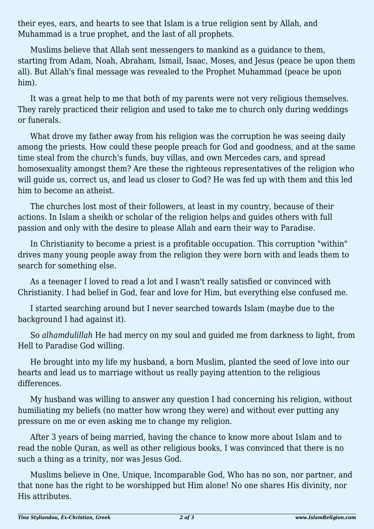their eyes, ears, and hearts to see that Islam is a true religion sent by Allah, and Muhammad is a true prophet, and the last of all prophets.

Muslims believe that Allah sent messengers to mankind as a guidance to them, starting from Adam, Noah, Abraham, Ismail, Isaac, Moses, and Jesus (peace be upon them all). But Allah's final message was revealed to the Prophet Muhammad (peace be upon him).

It was a great help to me that both of my parents were not very religious themselves. They rarely practiced their religion and used to take me to church only during weddings or funerals.

What drove my father away from his religion was the corruption he was seeing daily among the priests. How could these people preach for God and goodness, and at the same time steal from the church's funds, buy villas, and own Mercedes cars, and spread homosexuality amongst them? Are these the righteous representatives of the religion who will guide us, correct us, and lead us closer to God? He was fed up with them and this led him to become an atheist.

The churches lost most of their followers, at least in my country, because of their actions. In Islam a sheikh or scholar of the religion helps and guides others with full passion and only with the desire to please Allah and earn their way to Paradise.

In Christianity to become a priest is a profitable occupation. This corruption "within" drives many young people away from the religion they were born with and leads them to search for something else.

As a teenager I loved to read a lot and I wasn't really satisfied or convinced with Christianity. I had belief in God, fear and love for Him, but everything else confused me.

I started searching around but I never searched towards Islam (maybe due to the background I had against it).

So *alhamdulillah* He had mercy on my soul and guided me from darkness to light, from Hell to Paradise God willing.

He brought into my life my husband, a born Muslim, planted the seed of love into our hearts and lead us to marriage without us really paying attention to the religious differences.

My husband was willing to answer any question I had concerning his religion, without humiliating my beliefs (no matter how wrong they were) and without ever putting any pressure on me or even asking me to change my religion.

After 3 years of being married, having the chance to know more about Islam and to read the noble Quran, as well as other religious books, I was convinced that there is no such a thing as a trinity, nor was Jesus God.

Muslims believe in One, Unique, Incomparable God, Who has no son, nor partner, and that none has the right to be worshipped but Him alone! No one shares His divinity, nor His attributes.